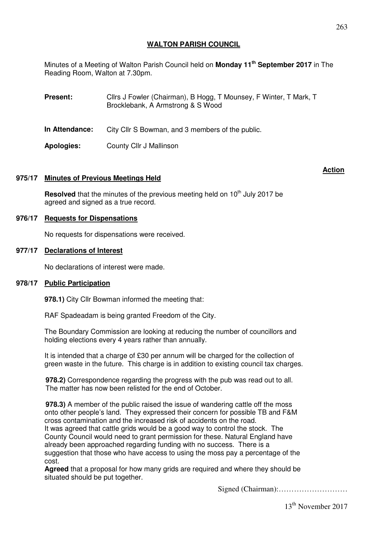# **WALTON PARISH COUNCIL**

Minutes of a Meeting of Walton Parish Council held on **Monday 11th September 2017** in The Reading Room, Walton at 7.30pm.

**Present:** Cllrs J Fowler (Chairman), B Hogg, T Mounsey, F Winter, T Mark, T Brocklebank, A Armstrong & S Wood **In Attendance:** City Cllr S Bowman, and 3 members of the public.

**Apologies:** County Cllr J Mallinson

## **975/17 Minutes of Previous Meetings Held**

**Resolved** that the minutes of the previous meeting held on 10<sup>th</sup> July 2017 be agreed and signed as a true record.

### **976/17 Requests for Dispensations**

No requests for dispensations were received.

#### **977/17 Declarations of Interest**

No declarations of interest were made.

#### **978/17 Public Participation**

**978.1)** City Cllr Bowman informed the meeting that:

RAF Spadeadam is being granted Freedom of the City.

The Boundary Commission are looking at reducing the number of councillors and holding elections every 4 years rather than annually.

It is intended that a charge of £30 per annum will be charged for the collection of green waste in the future. This charge is in addition to existing council tax charges.

**978.2)** Correspondence regarding the progress with the pub was read out to all. The matter has now been relisted for the end of October.

**978.3)** A member of the public raised the issue of wandering cattle off the moss onto other people's land. They expressed their concern for possible TB and F&M cross contamination and the increased risk of accidents on the road. It was agreed that cattle grids would be a good way to control the stock. The County Council would need to grant permission for these. Natural England have already been approached regarding funding with no success. There is a suggestion that those who have access to using the moss pay a percentage of the cost.

**Agreed** that a proposal for how many grids are required and where they should be situated should be put together.

Signed (Chairman):………………………

#### **Action** And the contract of the contract of the contract of the contract of the contract of the contract of the contract of the contract of the contract of the contract of the contract of the contract of the contract of t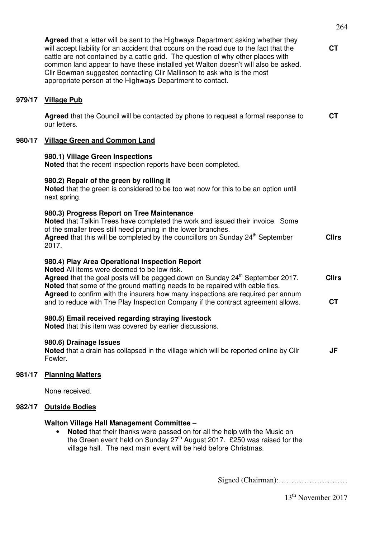|        | cattle are not contained by a cattle grid. The question of why other places with<br>common land appear to have these installed yet Walton doesn't will also be asked.<br>Cllr Bowman suggested contacting Cllr Mallinson to ask who is the most<br>appropriate person at the Highways Department to contact.                                                                                                                                     |                           |
|--------|--------------------------------------------------------------------------------------------------------------------------------------------------------------------------------------------------------------------------------------------------------------------------------------------------------------------------------------------------------------------------------------------------------------------------------------------------|---------------------------|
| 979/17 | <b>Village Pub</b>                                                                                                                                                                                                                                                                                                                                                                                                                               |                           |
|        | Agreed that the Council will be contacted by phone to request a formal response to<br>our letters.                                                                                                                                                                                                                                                                                                                                               | <b>CT</b>                 |
| 980/17 | <b>Village Green and Common Land</b>                                                                                                                                                                                                                                                                                                                                                                                                             |                           |
|        | 980.1) Village Green Inspections<br>Noted that the recent inspection reports have been completed.                                                                                                                                                                                                                                                                                                                                                |                           |
|        | 980.2) Repair of the green by rolling it<br>Noted that the green is considered to be too wet now for this to be an option until<br>next spring.                                                                                                                                                                                                                                                                                                  |                           |
|        | 980.3) Progress Report on Tree Maintenance<br>Noted that Talkin Trees have completed the work and issued their invoice. Some<br>of the smaller trees still need pruning in the lower branches.<br>Agreed that this will be completed by the councillors on Sunday 24 <sup>th</sup> September<br>2017.                                                                                                                                            | <b>Cllrs</b>              |
|        | 980.4) Play Area Operational Inspection Report<br>Noted All items were deemed to be low risk.<br>Agreed that the goal posts will be pegged down on Sunday 24 <sup>th</sup> September 2017.<br>Noted that some of the ground matting needs to be repaired with cable ties.<br>Agreed to confirm with the insurers how many inspections are required per annum<br>and to reduce with The Play Inspection Company if the contract agreement allows. | <b>Cllrs</b><br><b>CT</b> |
|        | 980.5) Email received regarding straying livestock<br>Noted that this item was covered by earlier discussions.                                                                                                                                                                                                                                                                                                                                   |                           |
|        | 980.6) Drainage Issues<br>Noted that a drain has collapsed in the village which will be reported online by Cllr<br>Fowler.                                                                                                                                                                                                                                                                                                                       | JF                        |
| 981/17 | <b>Planning Matters</b>                                                                                                                                                                                                                                                                                                                                                                                                                          |                           |
|        | None received.                                                                                                                                                                                                                                                                                                                                                                                                                                   |                           |
| 982/17 | <b>Outside Bodies</b>                                                                                                                                                                                                                                                                                                                                                                                                                            |                           |
|        | <b>Walton Village Hall Management Committee -</b><br>Noted that their thanks were passed on for all the help with the Music on<br>the Green event held on Sunday 27 <sup>th</sup> August 2017. £250 was raised for the<br>village hall. The next main event will be held before Christmas.                                                                                                                                                       |                           |

**Agreed** that a letter will be sent to the Highways Department asking whether they will accept liability for an accident that occurs on the road due to the fact that the

Signed (Chairman):………………………

13<sup>th</sup> November 2017

**CT**